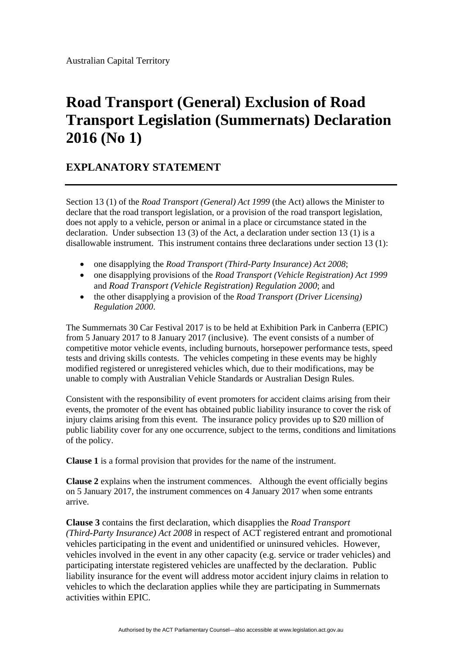## **Road Transport (General) Exclusion of Road Transport Legislation (Summernats) Declaration 2016 (No 1)**

## **EXPLANATORY STATEMENT**

Section 13 (1) of the *Road Transport (General) Act 1999* (the Act) allows the Minister to declare that the road transport legislation, or a provision of the road transport legislation, does not apply to a vehicle, person or animal in a place or circumstance stated in the declaration. Under subsection 13 (3) of the Act, a declaration under section 13 (1) is a disallowable instrument. This instrument contains three declarations under section 13 (1):

- one disapplying the *Road Transport (Third-Party Insurance) Act 2008*;
- one disapplying provisions of the *Road Transport (Vehicle Registration) Act 1999* and *Road Transport (Vehicle Registration) Regulation 2000*; and
- the other disapplying a provision of the *Road Transport (Driver Licensing) Regulation 2000*.

The Summernats 30 Car Festival 2017 is to be held at Exhibition Park in Canberra (EPIC) from 5 January 2017 to 8 January 2017 (inclusive). The event consists of a number of competitive motor vehicle events, including burnouts, horsepower performance tests, speed tests and driving skills contests. The vehicles competing in these events may be highly modified registered or unregistered vehicles which, due to their modifications, may be unable to comply with Australian Vehicle Standards or Australian Design Rules.

Consistent with the responsibility of event promoters for accident claims arising from their events, the promoter of the event has obtained public liability insurance to cover the risk of injury claims arising from this event. The insurance policy provides up to \$20 million of public liability cover for any one occurrence, subject to the terms, conditions and limitations of the policy.

**Clause 1** is a formal provision that provides for the name of the instrument.

**Clause 2** explains when the instrument commences. Although the event officially begins on 5 January 2017, the instrument commences on 4 January 2017 when some entrants arrive.

**Clause 3** contains the first declaration, which disapplies the *Road Transport (Third-Party Insurance) Act 2008* in respect of ACT registered entrant and promotional vehicles participating in the event and unidentified or uninsured vehicles. However, vehicles involved in the event in any other capacity (e.g. service or trader vehicles) and participating interstate registered vehicles are unaffected by the declaration. Public liability insurance for the event will address motor accident injury claims in relation to vehicles to which the declaration applies while they are participating in Summernats activities within EPIC.